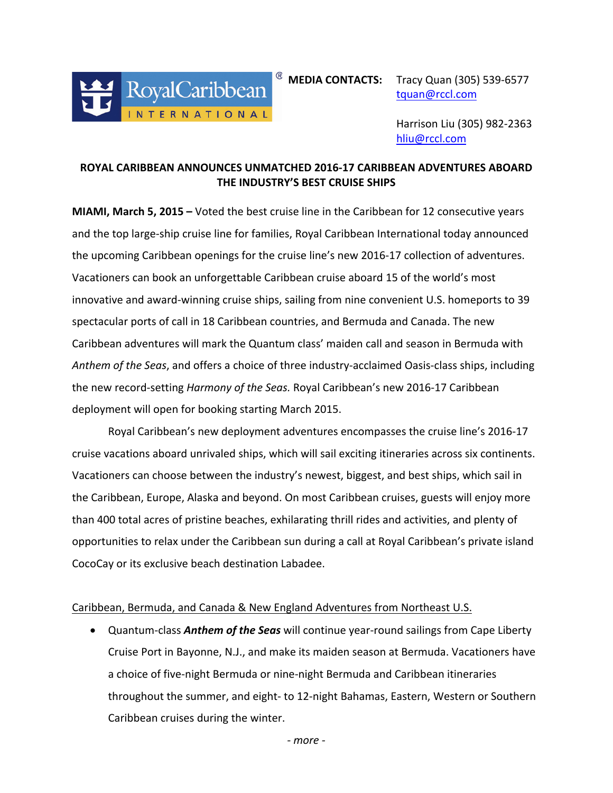

 $^{\circledR}$  **MEDIA CONTACTS:** Tracy Quan (305) 539-6577

[tquan@rccl.com](mailto:tquan@rccl.com)

Harrison Liu (305) 982-2363 [hliu@rccl.com](mailto:hliu@rccl.com)

# **ROYAL CARIBBEAN ANNOUNCES UNMATCHED 2016-17 CARIBBEAN ADVENTURES ABOARD THE INDUSTRY'S BEST CRUISE SHIPS**

**MIAMI, March 5, 2015** – Voted the best cruise line in the Caribbean for 12 consecutive years and the top large-ship cruise line for families, Royal Caribbean International today announced the upcoming Caribbean openings for the cruise line's new 2016-17 collection of adventures. Vacationers can book an unforgettable Caribbean cruise aboard 15 of the world's most innovative and award-winning cruise ships, sailing from nine convenient U.S. homeports to 39 spectacular ports of call in 18 Caribbean countries, and Bermuda and Canada. The new Caribbean adventures will mark the Quantum class' maiden call and season in Bermuda with Anthem of the Seas, and offers a choice of three industry-acclaimed Oasis-class ships, including the new record-setting *Harmony of the Seas.* Royal Caribbean's new 2016-17 Caribbean deployment will open for booking starting March 2015.

Royal Caribbean's new deployment adventures encompasses the cruise line's 2016-17 cruise vacations aboard unrivaled ships, which will sail exciting itineraries across six continents. Vacationers can choose between the industry's newest, biggest, and best ships, which sail in the Caribbean, Europe, Alaska and beyond. On most Caribbean cruises, guests will enjoy more than 400 total acres of pristine beaches, exhilarating thrill rides and activities, and plenty of opportunities to relax under the Caribbean sun during a call at Royal Caribbean's private island CocoCay or its exclusive beach destination Labadee.

### Caribbean, Bermuda, and Canada & New England Adventures from Northeast U.S.

• Quantum-class **Anthem of the Seas** will continue year-round sailings from Cape Liberty Cruise Port in Bayonne, N.J., and make its maiden season at Bermuda. Vacationers have a choice of five-night Bermuda or nine-night Bermuda and Caribbean itineraries throughout the summer, and eight- to 12-night Bahamas, Eastern, Western or Southern Caribbean cruises during the winter.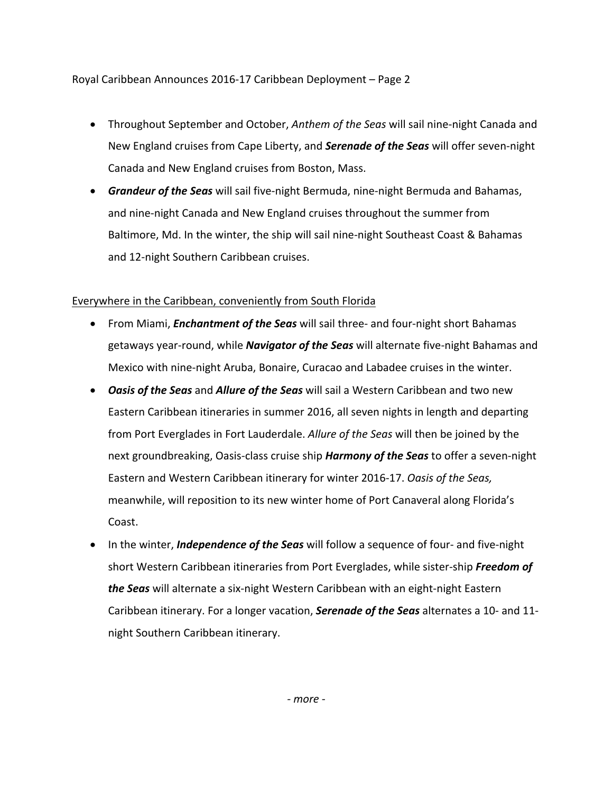Royal Caribbean Announces 2016-17 Caribbean Deployment - Page 2

- Throughout September and October, *Anthem of the Seas* will sail nine-night Canada and New England cruises from Cape Liberty, and **Serenade of the Seas** will offer seven-night Canada and New England cruises from Boston, Mass.
- *Grandeur of the Seas* will sail five-night Bermuda, nine-night Bermuda and Bahamas, and nine-night Canada and New England cruises throughout the summer from Baltimore, Md. In the winter, the ship will sail nine-night Southeast Coast & Bahamas and 12-night Southern Caribbean cruises.

## Everywhere in the Caribbean, conveniently from South Florida

- From Miami, *Enchantment of the Seas* will sail three- and four-night short Bahamas getaways year-round, while **Navigator of the Seas** will alternate five-night Bahamas and Mexico with nine-night Aruba, Bonaire, Curacao and Labadee cruises in the winter.
- *Oasis of the Seas* and *Allure of the Seas* will sail a Western Caribbean and two new Eastern Caribbean itineraries in summer 2016, all seven nights in length and departing from Port Everglades in Fort Lauderdale. *Allure of the Seas* will then be joined by the next groundbreaking, Oasis-class cruise ship *Harmony of the Seas* to offer a seven-night Eastern and Western Caribbean itinerary for winter 2016-17. *Oasis of the Seas,* meanwhile, will reposition to its new winter home of Port Canaveral along Florida's Coast.
- In the winter, *Independence of the Seas* will follow a sequence of four- and five-night short Western Caribbean itineraries from Port Everglades, while sister-ship Freedom of **the Seas** will alternate a six-night Western Caribbean with an eight-night Eastern Caribbean itinerary. For a longer vacation, **Serenade of the Seas** alternates a 10- and 11night Southern Caribbean itinerary.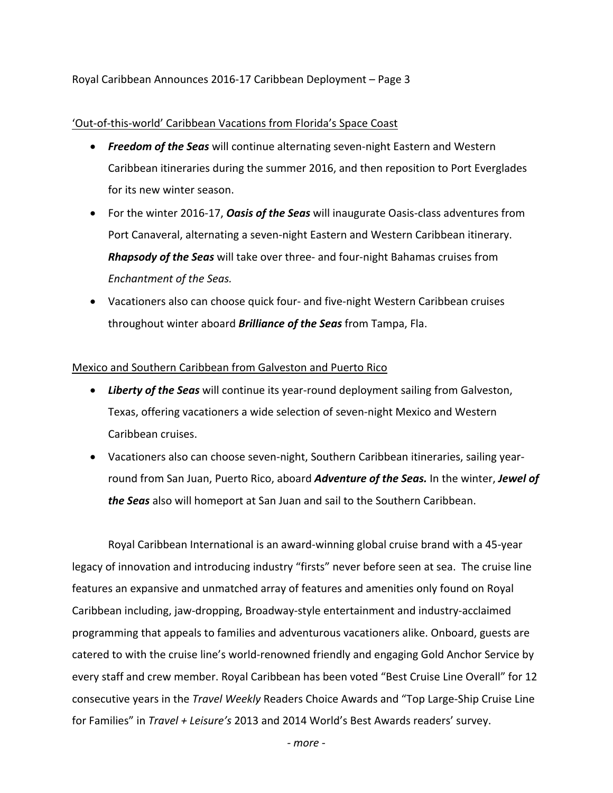Royal Caribbean Announces 2016-17 Caribbean Deployment – Page 3

## 'Out-of-this-world' Caribbean Vacations from Florida's Space Coast

- **Freedom of the Seas** will continue alternating seven-night Eastern and Western Caribbean itineraries during the summer 2016, and then reposition to Port Everglades for its new winter season.
- For the winter 2016-17, *Oasis of the Seas* will inaugurate Oasis-class adventures from Port Canaveral, alternating a seven-night Eastern and Western Caribbean itinerary. **Rhapsody of the Seas** will take over three- and four-night Bahamas cruises from *Enchantment of the Seas.*
- Vacationers also can choose quick four- and five-night Western Caribbean cruises throughout winter aboard **Brilliance of the Seas** from Tampa, Fla.

### Mexico and Southern Caribbean from Galveston and Puerto Rico

- Liberty of the Seas will continue its year-round deployment sailing from Galveston, Texas, offering vacationers a wide selection of seven-night Mexico and Western Caribbean cruises.
- Vacationers also can choose seven-night, Southern Caribbean itineraries, sailing yearround from San Juan, Puerto Rico, aboard *Adventure of the Seas.* In the winter, *Jewel of* the Seas also will homeport at San Juan and sail to the Southern Caribbean.

Royal Caribbean International is an award-winning global cruise brand with a 45-year legacy of innovation and introducing industry "firsts" never before seen at sea. The cruise line features an expansive and unmatched array of features and amenities only found on Royal Caribbean including, jaw-dropping, Broadway-style entertainment and industry-acclaimed programming that appeals to families and adventurous vacationers alike. Onboard, guests are catered to with the cruise line's world-renowned friendly and engaging Gold Anchor Service by every staff and crew member. Royal Caribbean has been voted "Best Cruise Line Overall" for 12 consecutive years in the *Travel Weekly* Readers Choice Awards and "Top Large-Ship Cruise Line for Families" in *Travel + Leisure's* 2013 and 2014 World's Best Awards readers' survey.